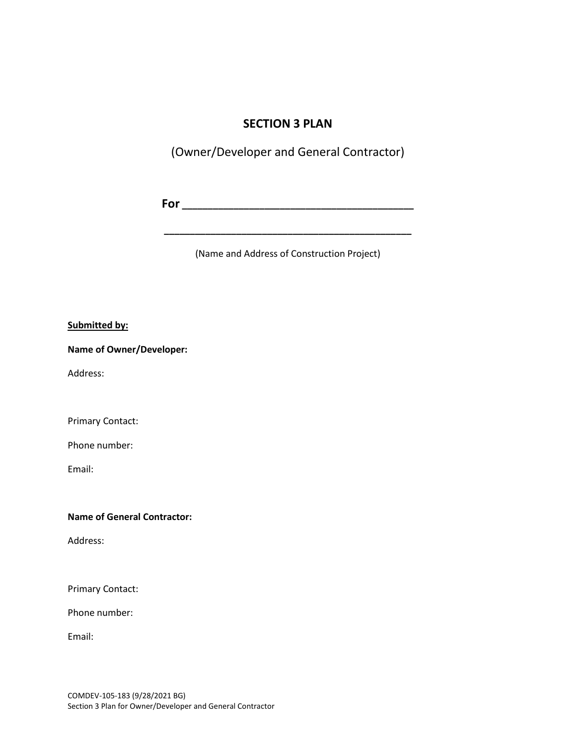## **SECTION 3 PLAN**

(Owner/Developer and General Contractor)

**For \_\_\_\_\_\_\_\_\_\_\_\_\_\_\_\_\_\_\_\_\_\_\_\_\_\_\_\_\_\_\_\_\_\_\_\_\_\_\_\_\_\_\_\_\_**

(Name and Address of Construction Project)

**\_\_\_\_\_\_\_\_\_\_\_\_\_\_\_\_\_\_\_\_\_\_\_\_\_\_\_\_\_\_\_\_\_\_\_\_\_\_\_\_\_\_\_\_\_\_\_\_**

#### **Submitted by:**

**Name of Owner/Developer:** 

Address:

Primary Contact:

Phone number:

Email:

#### **Name of General Contractor:**

Address:

Primary Contact:

Phone number:

Email: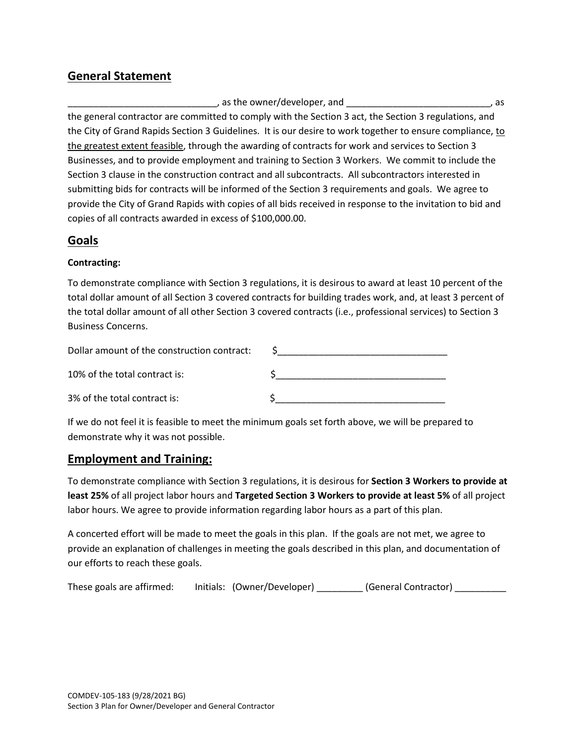# **General Statement**

, as the owner/developer, and  $\qquad \qquad$  , as the general contractor are committed to comply with the Section 3 act, the Section 3 regulations, and the City of Grand Rapids Section 3 Guidelines. It is our desire to work together to ensure compliance, to the greatest extent feasible, through the awarding of contracts for work and services to Section 3 Businesses, and to provide employment and training to Section 3 Workers. We commit to include the Section 3 clause in the construction contract and all subcontracts. All subcontractors interested in submitting bids for contracts will be informed of the Section 3 requirements and goals. We agree to provide the City of Grand Rapids with copies of all bids received in response to the invitation to bid and copies of all contracts awarded in excess of \$100,000.00.

# **Goals**

#### **Contracting:**

To demonstrate compliance with Section 3 regulations, it is desirous to award at least 10 percent of the total dollar amount of all Section 3 covered contracts for building trades work, and, at least 3 percent of the total dollar amount of all other Section 3 covered contracts (i.e., professional services) to Section 3 Business Concerns.

| Dollar amount of the construction contract: |  |
|---------------------------------------------|--|
| 10% of the total contract is:               |  |
| 3% of the total contract is:                |  |

If we do not feel it is feasible to meet the minimum goals set forth above, we will be prepared to demonstrate why it was not possible.

# **Employment and Training:**

To demonstrate compliance with Section 3 regulations, it is desirous for **Section 3 Workers to provide at least 25%** of all project labor hours and **Targeted Section 3 Workers to provide at least 5%** of all project labor hours. We agree to provide information regarding labor hours as a part of this plan.

A concerted effort will be made to meet the goals in this plan. If the goals are not met, we agree to provide an explanation of challenges in meeting the goals described in this plan, and documentation of our efforts to reach these goals.

These goals are affirmed: Initials: (Owner/Developer) \_\_\_\_\_\_\_\_ (General Contractor) \_\_\_\_\_\_\_\_\_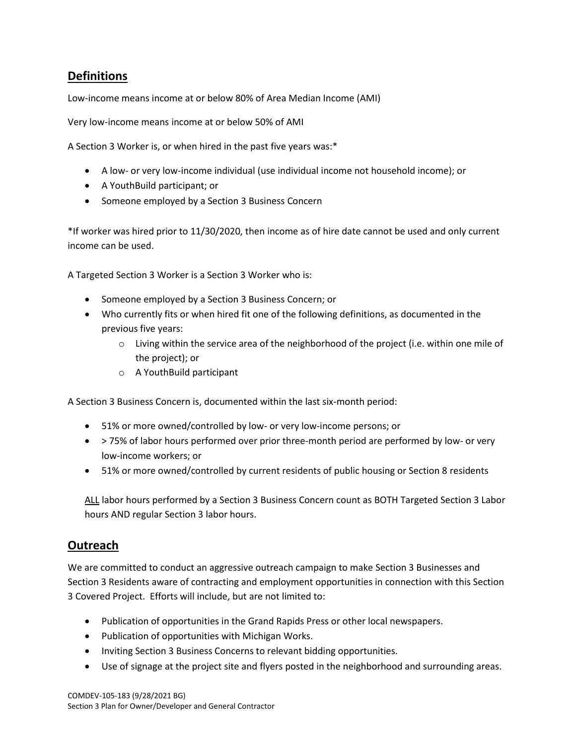# **Definitions**

Low-income means income at or below 80% of Area Median Income (AMI)

Very low-income means income at or below 50% of AMI

A Section 3 Worker is, or when hired in the past five years was:\*

- A low- or very low-income individual (use individual income not household income); or
- A YouthBuild participant; or
- Someone employed by a Section 3 Business Concern

\*If worker was hired prior to 11/30/2020, then income as of hire date cannot be used and only current income can be used.

A Targeted Section 3 Worker is a Section 3 Worker who is:

- Someone employed by a Section 3 Business Concern; or
- Who currently fits or when hired fit one of the following definitions, as documented in the previous five years:
	- $\circ$  Living within the service area of the neighborhood of the project (i.e. within one mile of the project); or
	- o A YouthBuild participant

A Section 3 Business Concern is, documented within the last six-month period:

- 51% or more owned/controlled by low- or very low-income persons; or
- > 75% of labor hours performed over prior three-month period are performed by low- or very low-income workers; or
- 51% or more owned/controlled by current residents of public housing or Section 8 residents

ALL labor hours performed by a Section 3 Business Concern count as BOTH Targeted Section 3 Labor hours AND regular Section 3 labor hours.

### **Outreach**

We are committed to conduct an aggressive outreach campaign to make Section 3 Businesses and Section 3 Residents aware of contracting and employment opportunities in connection with this Section 3 Covered Project. Efforts will include, but are not limited to:

- Publication of opportunities in the Grand Rapids Press or other local newspapers.
- Publication of opportunities with Michigan Works.
- Inviting Section 3 Business Concerns to relevant bidding opportunities.
- Use of signage at the project site and flyers posted in the neighborhood and surrounding areas.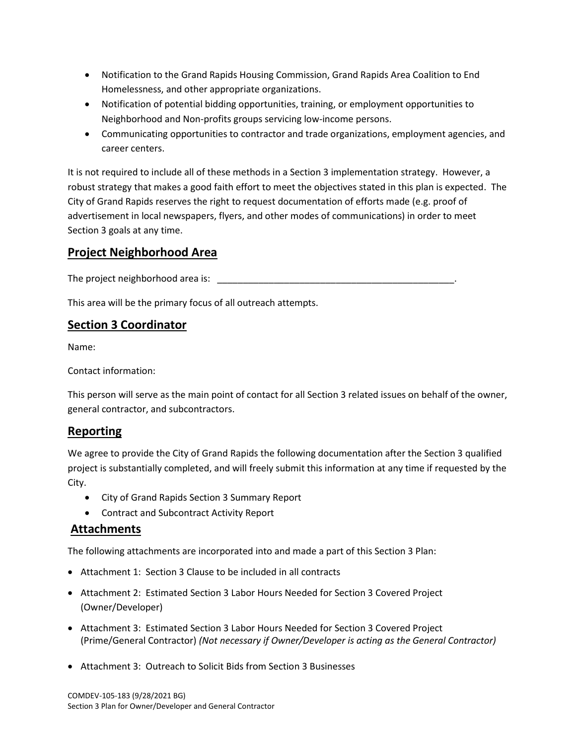- Notification to the Grand Rapids Housing Commission, Grand Rapids Area Coalition to End Homelessness, and other appropriate organizations.
- Notification of potential bidding opportunities, training, or employment opportunities to Neighborhood and Non-profits groups servicing low-income persons.
- Communicating opportunities to contractor and trade organizations, employment agencies, and career centers.

It is not required to include all of these methods in a Section 3 implementation strategy. However, a robust strategy that makes a good faith effort to meet the objectives stated in this plan is expected. The City of Grand Rapids reserves the right to request documentation of efforts made (e.g. proof of advertisement in local newspapers, flyers, and other modes of communications) in order to meet Section 3 goals at any time.

# **Project Neighborhood Area**

The project neighborhood area is: \_\_\_\_\_\_\_\_\_\_\_\_\_\_\_\_\_\_\_\_\_\_\_\_\_\_\_\_\_\_\_\_\_\_\_\_\_\_\_\_\_\_\_\_\_\_.

This area will be the primary focus of all outreach attempts.

### **Section 3 Coordinator**

Name:

Contact information:

This person will serve as the main point of contact for all Section 3 related issues on behalf of the owner, general contractor, and subcontractors.

#### **Reporting**

We agree to provide the City of Grand Rapids the following documentation after the Section 3 qualified project is substantially completed, and will freely submit this information at any time if requested by the City.

- City of Grand Rapids Section 3 Summary Report
- Contract and Subcontract Activity Report

### **Attachments**

The following attachments are incorporated into and made a part of this Section 3 Plan:

- Attachment 1: Section 3 Clause to be included in all contracts
- Attachment 2: Estimated Section 3 Labor Hours Needed for Section 3 Covered Project (Owner/Developer)
- Attachment 3: Estimated Section 3 Labor Hours Needed for Section 3 Covered Project (Prime/General Contractor) *(Not necessary if Owner/Developer is acting as the General Contractor)*
- Attachment 3: Outreach to Solicit Bids from Section 3 Businesses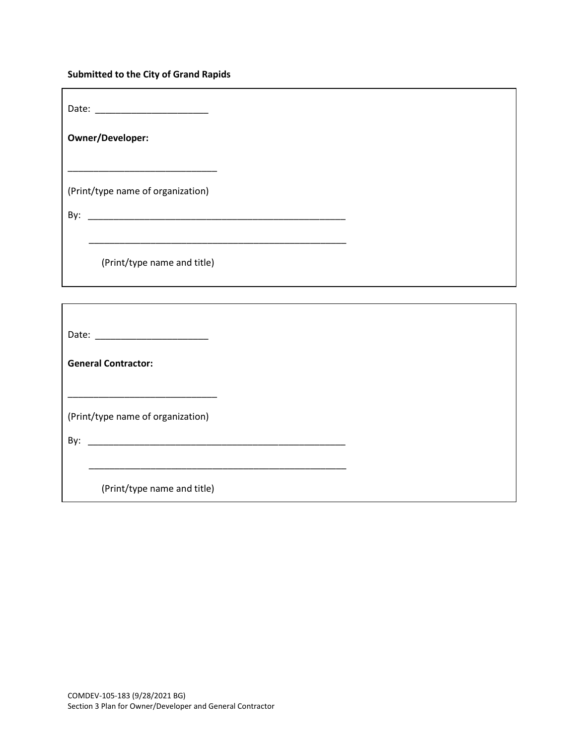## **Submitted to the City of Grand Rapids**

| Owner/Developer:                                                                             |  |
|----------------------------------------------------------------------------------------------|--|
| <u> 1980 - Johann John Stone, mars et al. (b. 1980)</u><br>(Print/type name of organization) |  |
| (Print/type name and title)                                                                  |  |
|                                                                                              |  |
|                                                                                              |  |
| <b>General Contractor:</b>                                                                   |  |
| (Print/type name of organization)                                                            |  |
| (Print/type name and title)                                                                  |  |
|                                                                                              |  |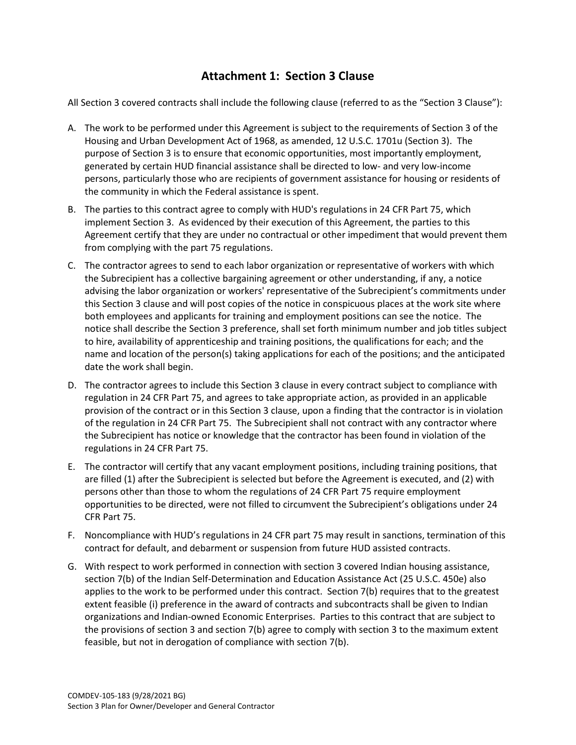# **Attachment 1: Section 3 Clause**

All Section 3 covered contracts shall include the following clause (referred to as the "Section 3 Clause"):

- A. The work to be performed under this Agreement is subject to the requirements of Section 3 of the Housing and Urban Development Act of 1968, as amended, 12 U.S.C. 1701u (Section 3). The purpose of Section 3 is to ensure that economic opportunities, most importantly employment, generated by certain HUD financial assistance shall be directed to low- and very low-income persons, particularly those who are recipients of government assistance for housing or residents of the community in which the Federal assistance is spent.
- B. The parties to this contract agree to comply with HUD's regulations in 24 CFR Part 75, which implement Section 3. As evidenced by their execution of this Agreement, the parties to this Agreement certify that they are under no contractual or other impediment that would prevent them from complying with the part 75 regulations.
- C. The contractor agrees to send to each labor organization or representative of workers with which the Subrecipient has a collective bargaining agreement or other understanding, if any, a notice advising the labor organization or workers' representative of the Subrecipient's commitments under this Section 3 clause and will post copies of the notice in conspicuous places at the work site where both employees and applicants for training and employment positions can see the notice. The notice shall describe the Section 3 preference, shall set forth minimum number and job titles subject to hire, availability of apprenticeship and training positions, the qualifications for each; and the name and location of the person(s) taking applications for each of the positions; and the anticipated date the work shall begin.
- D. The contractor agrees to include this Section 3 clause in every contract subject to compliance with regulation in 24 CFR Part 75, and agrees to take appropriate action, as provided in an applicable provision of the contract or in this Section 3 clause, upon a finding that the contractor is in violation of the regulation in 24 CFR Part 75. The Subrecipient shall not contract with any contractor where the Subrecipient has notice or knowledge that the contractor has been found in violation of the regulations in 24 CFR Part 75.
- E. The contractor will certify that any vacant employment positions, including training positions, that are filled (1) after the Subrecipient is selected but before the Agreement is executed, and (2) with persons other than those to whom the regulations of 24 CFR Part 75 require employment opportunities to be directed, were not filled to circumvent the Subrecipient's obligations under 24 CFR Part 75.
- F. Noncompliance with HUD's regulations in 24 CFR part 75 may result in sanctions, termination of this contract for default, and debarment or suspension from future HUD assisted contracts.
- G. With respect to work performed in connection with section 3 covered Indian housing assistance, section 7(b) of the Indian Self-Determination and Education Assistance Act (25 U.S.C. 450e) also applies to the work to be performed under this contract. Section 7(b) requires that to the greatest extent feasible (i) preference in the award of contracts and subcontracts shall be given to Indian organizations and Indian-owned Economic Enterprises. Parties to this contract that are subject to the provisions of section 3 and section 7(b) agree to comply with section 3 to the maximum extent feasible, but not in derogation of compliance with section 7(b).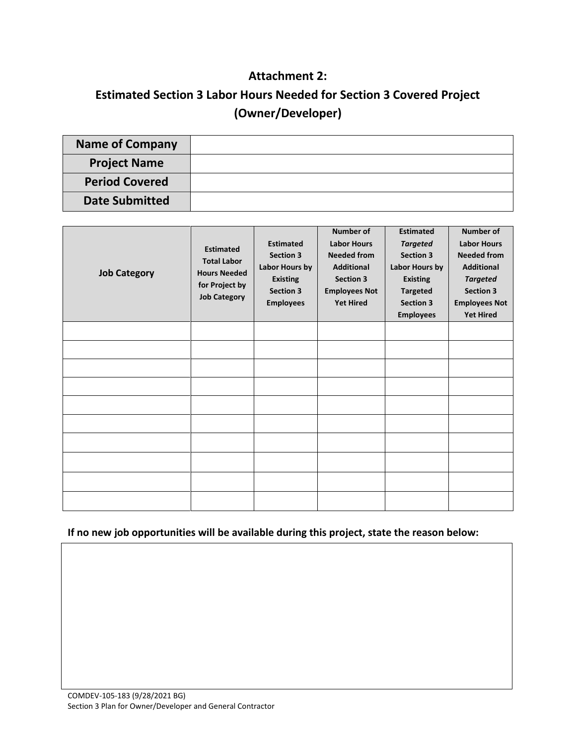# **Attachment 2:**

# **Estimated Section 3 Labor Hours Needed for Section 3 Covered Project (Owner/Developer)**

| <b>Name of Company</b> |  |
|------------------------|--|
| <b>Project Name</b>    |  |
| <b>Period Covered</b>  |  |
| <b>Date Submitted</b>  |  |

| <b>Job Category</b> | <b>Estimated</b><br><b>Total Labor</b><br><b>Hours Needed</b><br>for Project by<br><b>Job Category</b> | <b>Estimated</b><br><b>Section 3</b><br>Labor Hours by<br><b>Existing</b><br><b>Section 3</b><br><b>Employees</b> | Number of<br><b>Labor Hours</b><br><b>Needed from</b><br><b>Additional</b><br><b>Section 3</b><br><b>Employees Not</b><br><b>Yet Hired</b> | <b>Estimated</b><br><b>Targeted</b><br><b>Section 3</b><br>Labor Hours by<br><b>Existing</b><br><b>Targeted</b><br><b>Section 3</b><br><b>Employees</b> | Number of<br><b>Labor Hours</b><br><b>Needed from</b><br><b>Additional</b><br><b>Targeted</b><br><b>Section 3</b><br><b>Employees Not</b><br><b>Yet Hired</b> |
|---------------------|--------------------------------------------------------------------------------------------------------|-------------------------------------------------------------------------------------------------------------------|--------------------------------------------------------------------------------------------------------------------------------------------|---------------------------------------------------------------------------------------------------------------------------------------------------------|---------------------------------------------------------------------------------------------------------------------------------------------------------------|
|                     |                                                                                                        |                                                                                                                   |                                                                                                                                            |                                                                                                                                                         |                                                                                                                                                               |
|                     |                                                                                                        |                                                                                                                   |                                                                                                                                            |                                                                                                                                                         |                                                                                                                                                               |
|                     |                                                                                                        |                                                                                                                   |                                                                                                                                            |                                                                                                                                                         |                                                                                                                                                               |
|                     |                                                                                                        |                                                                                                                   |                                                                                                                                            |                                                                                                                                                         |                                                                                                                                                               |
|                     |                                                                                                        |                                                                                                                   |                                                                                                                                            |                                                                                                                                                         |                                                                                                                                                               |
|                     |                                                                                                        |                                                                                                                   |                                                                                                                                            |                                                                                                                                                         |                                                                                                                                                               |
|                     |                                                                                                        |                                                                                                                   |                                                                                                                                            |                                                                                                                                                         |                                                                                                                                                               |
|                     |                                                                                                        |                                                                                                                   |                                                                                                                                            |                                                                                                                                                         |                                                                                                                                                               |
|                     |                                                                                                        |                                                                                                                   |                                                                                                                                            |                                                                                                                                                         |                                                                                                                                                               |
|                     |                                                                                                        |                                                                                                                   |                                                                                                                                            |                                                                                                                                                         |                                                                                                                                                               |

#### **If no new job opportunities will be available during this project, state the reason below:**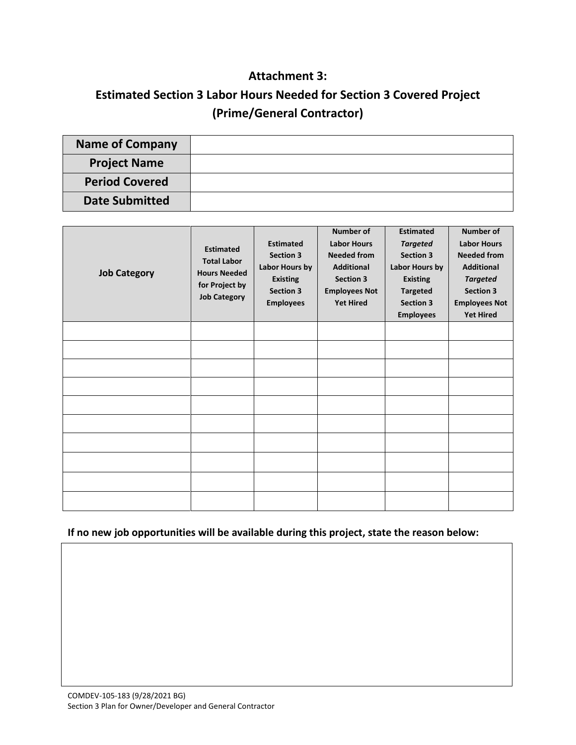# **Attachment 3:**

# **Estimated Section 3 Labor Hours Needed for Section 3 Covered Project (Prime/General Contractor)**

| <b>Name of Company</b> |  |
|------------------------|--|
| <b>Project Name</b>    |  |
| <b>Period Covered</b>  |  |
| <b>Date Submitted</b>  |  |

| <b>Job Category</b> | <b>Estimated</b><br><b>Total Labor</b><br><b>Hours Needed</b><br>for Project by<br><b>Job Category</b> | <b>Estimated</b><br><b>Section 3</b><br>Labor Hours by<br><b>Existing</b><br><b>Section 3</b><br><b>Employees</b> | <b>Number of</b><br><b>Labor Hours</b><br><b>Needed from</b><br><b>Additional</b><br><b>Section 3</b><br><b>Employees Not</b><br><b>Yet Hired</b> | <b>Estimated</b><br><b>Targeted</b><br><b>Section 3</b><br>Labor Hours by<br><b>Existing</b><br><b>Targeted</b><br><b>Section 3</b><br><b>Employees</b> | Number of<br><b>Labor Hours</b><br><b>Needed from</b><br><b>Additional</b><br><b>Targeted</b><br><b>Section 3</b><br><b>Employees Not</b><br><b>Yet Hired</b> |
|---------------------|--------------------------------------------------------------------------------------------------------|-------------------------------------------------------------------------------------------------------------------|---------------------------------------------------------------------------------------------------------------------------------------------------|---------------------------------------------------------------------------------------------------------------------------------------------------------|---------------------------------------------------------------------------------------------------------------------------------------------------------------|
|                     |                                                                                                        |                                                                                                                   |                                                                                                                                                   |                                                                                                                                                         |                                                                                                                                                               |
|                     |                                                                                                        |                                                                                                                   |                                                                                                                                                   |                                                                                                                                                         |                                                                                                                                                               |
|                     |                                                                                                        |                                                                                                                   |                                                                                                                                                   |                                                                                                                                                         |                                                                                                                                                               |
|                     |                                                                                                        |                                                                                                                   |                                                                                                                                                   |                                                                                                                                                         |                                                                                                                                                               |
|                     |                                                                                                        |                                                                                                                   |                                                                                                                                                   |                                                                                                                                                         |                                                                                                                                                               |
|                     |                                                                                                        |                                                                                                                   |                                                                                                                                                   |                                                                                                                                                         |                                                                                                                                                               |
|                     |                                                                                                        |                                                                                                                   |                                                                                                                                                   |                                                                                                                                                         |                                                                                                                                                               |
|                     |                                                                                                        |                                                                                                                   |                                                                                                                                                   |                                                                                                                                                         |                                                                                                                                                               |
|                     |                                                                                                        |                                                                                                                   |                                                                                                                                                   |                                                                                                                                                         |                                                                                                                                                               |
|                     |                                                                                                        |                                                                                                                   |                                                                                                                                                   |                                                                                                                                                         |                                                                                                                                                               |

#### **If no new job opportunities will be available during this project, state the reason below:**